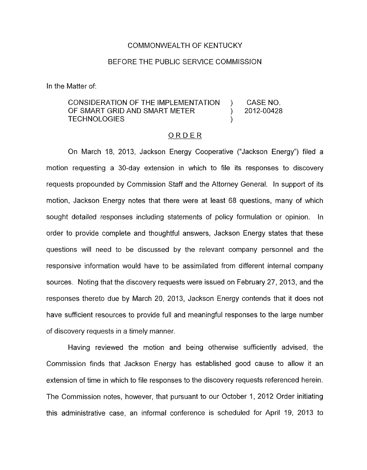## COMMONWEALTH OF KENTUCKY

## BEFORE THE PUBLIC SERVICE COMMISSION

In the Matter of:

## CONSIDERATION OF THE IMPLEMENTATION ) CASE NO. OF SMART GRID AND SMART METER ) 2012-00428 TECHNOLOGIES (1999)

## ORDER

On March 18, 2013, Jackson Energy Cooperative ("Jackson Energy") filed a motion requesting a 30-day extension in which to file its responses to discovery requests propounded by Commission Staff and the Attorney General. In support of its motion, Jackson Energy notes that there were at least 68 questions, many of which sought detailed responses including statements of policy formulation or opinion. In order to provide complete and thoughtful answers, Jackson Energy states that these questions will need to be discussed by the relevant company personnel and the responsive information would have to be assimilated from different internal company sources. Noting that the discovery requests were issued on February 27, 2013, and the responses thereto due by March 20, 2013, Jackson Energy contends that it does not have sufficient resources to provide full and meaningful responses to the large number of discovery requests in a timely manner.

Having reviewed the motion and being otherwise sufficiently advised, the Commission finds that Jackson Energy has established good cause to allow it an extension of time in which to file responses to the discovery requests referenced herein. The Commission notes, however, that pursuant to our October 1, 2012 Order initiating this administrative case, an informal conference is scheduled for April 19, 2013 to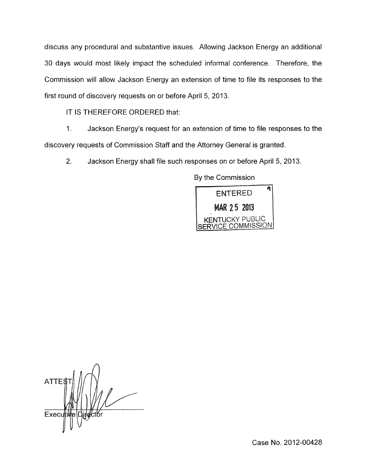discuss any procedural and substantive issues. Allowing Jackson Energy an additional 30 days would most likely impact the scheduled informal conference. Therefore, the Commission will allow Jackson Energy an extension of time to file its responses to the first round of discovery requests on or before April 5, 2013.

IT IS THEREFORE ORDERED that:

1 **I** Jackson Energy's request for an extension of time to file responses to the discovery requests of Commission Staff and the Attorney General is granted

2. Jackson Energy shall file such responses on or before April 5, 2013.

By the Commission



**ATTES** Execu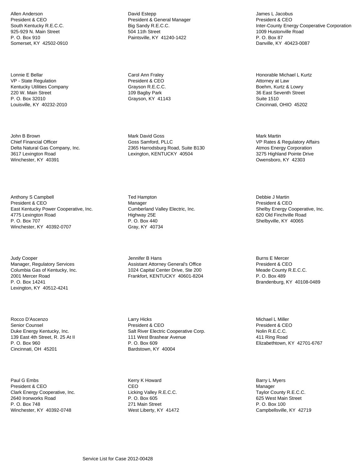Allen Anderson President & CEO South Kentucky R.E.C.C. 925-929 N. Main Street P. O. Box 910 Somerset, KY 42502-0910

Lonnie E Bellar VP - State Regulation Kentucky Utilities Company 220 W. Main Street P. O. Box 32010 Louisville, KY 40232-2010

John B Brown Chief Financial Officer Delta Natural Gas Company, Inc. 3617 Lexington Road Winchester, KY 40391

Anthony S Campbell President & CEO East Kentucky Power Cooperative, Inc. 4775 Lexington Road P. O. Box 707 Winchester, KY 40392-0707

Judy Cooper Manager, Regulatory Services Columbia Gas of Kentucky, Inc. 2001 Mercer Road P. O. Box 14241 Lexington, KY 40512-4241

Rocco D'Ascenzo Senior Counsel Duke Energy Kentucky, Inc. 139 East 4th Street, R. 25 At II P. O. Box 960 Cincinnati, OH 45201

Paul G Embs President & CEO Clark Energy Cooperative, Inc. 2640 Ironworks Road P. O. Box 748 Winchester, KY 40392-0748

David Estepp President & General Manager Big Sandy R.E.C.C. 504 11th Street Paintsville, KY 41240-1422

Carol Ann Fraley President & CEO Grayson R.E.C.C. 109 Bagby Park Grayson, KY 41143

Mark David Goss Goss Samford, PLLC 2365 Harrodsburg Road, Suite B130 Lexington, KENTUCKY 40504

Ted Hampton Manager Cumberland Valley Electric, Inc. Highway 25E P. O. Box 440 Gray, KY 40734

Jennifer B Hans Assistant Attorney General's Office 1024 Capital Center Drive, Ste 200 Frankfort, KENTUCKY 40601-8204

Larry Hicks President & CEO Salt River Electric Cooperative Corp. 111 West Brashear Avenue P. O. Box 609 Bardstown, KY 40004

Kerry K Howard CEO Licking Valley R.E.C.C. P. O. Box 605 271 Main Street West Liberty, KY 41472

James L Jacobus President & CEO Inter-County Energy Cooperative Corporation 1009 Hustonville Road P. O. Box 87 Danville, KY 40423-0087

Honorable Michael L Kurtz Attorney at Law Boehm, Kurtz & Lowry 36 East Seventh Street Suite 1510 Cincinnati, OHIO 45202

Mark Martin VP Rates & Regulatory Affairs Atmos Energy Corporation 3275 Highland Pointe Drive Owensboro, KY 42303

Debbie J Martin President & CEO Shelby Energy Cooperative, Inc. 620 Old Finchville Road Shelbyville, KY 40065

Burns E Mercer President & CEO Meade County R.E.C.C. P. O. Box 489 Brandenburg, KY 40108-0489

Michael L Miller President & CEO Nolin R.E.C.C. 411 Ring Road Elizabethtown, KY 42701-6767

Barry L Myers Manager Taylor County R.E.C.C. 625 West Main Street P. O. Box 100 Campbellsville, KY 42719